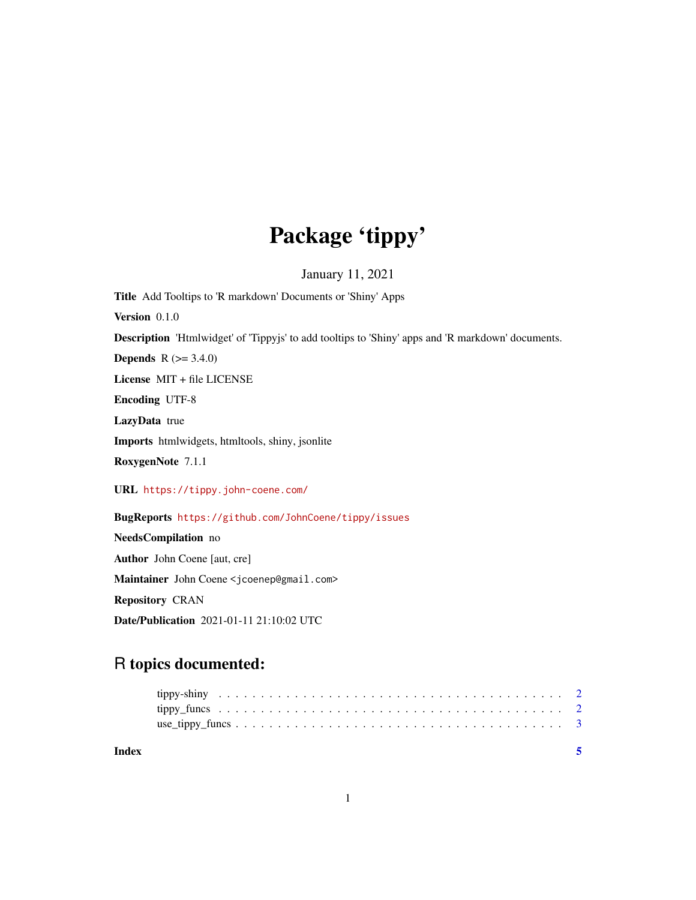## Package 'tippy'

January 11, 2021

Title Add Tooltips to 'R markdown' Documents or 'Shiny' Apps Version 0.1.0 Description 'Htmlwidget' of 'Tippyjs' to add tooltips to 'Shiny' apps and 'R markdown' documents. **Depends** R  $(>= 3.4.0)$ License MIT + file LICENSE Encoding UTF-8 LazyData true Imports htmlwidgets, htmltools, shiny, jsonlite RoxygenNote 7.1.1 URL <https://tippy.john-coene.com/> BugReports <https://github.com/JohnCoene/tippy/issues> NeedsCompilation no Author John Coene [aut, cre] Maintainer John Coene <jcoenep@gmail.com>

Repository CRAN

Date/Publication 2021-01-11 21:10:02 UTC

### R topics documented:

| Index |  |
|-------|--|
|       |  |
|       |  |
|       |  |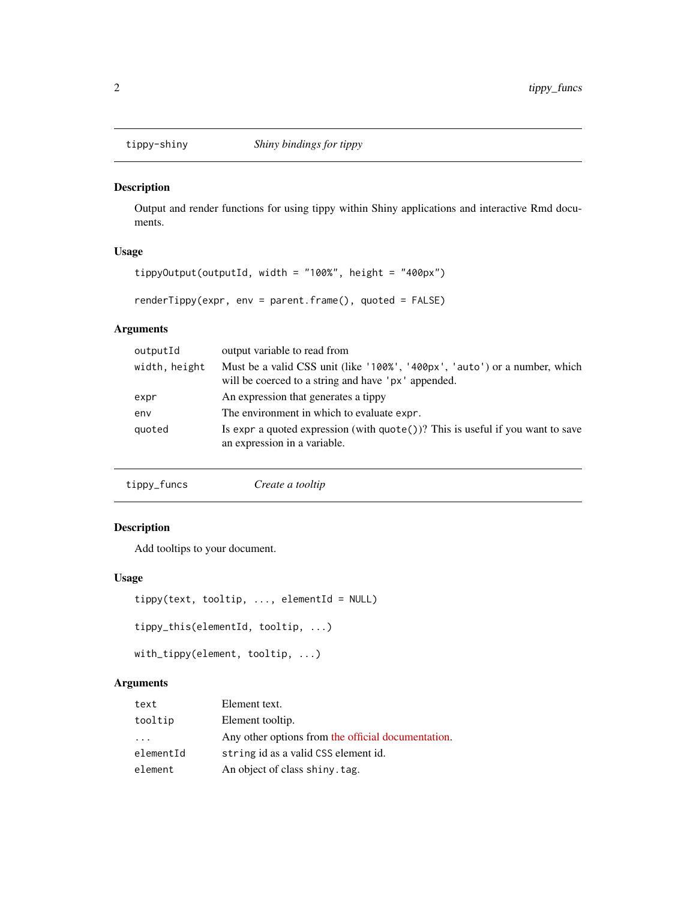<span id="page-1-0"></span>

#### Description

Output and render functions for using tippy within Shiny applications and interactive Rmd documents.

#### Usage

```
tippyOutput(outputId, width = "100%", height = "400px")
```

```
renderTippy(expr, env = parent.frame(), quoted = FALSE)
```
#### Arguments

| outputId      | output variable to read from                                                                                                      |
|---------------|-----------------------------------------------------------------------------------------------------------------------------------|
| width, height | Must be a valid CSS unit (like '100%', '400px', 'auto') or a number, which<br>will be coerced to a string and have 'px' appended. |
| expr          | An expression that generates a tippy                                                                                              |
| env           | The environment in which to evaluate expr.                                                                                        |
| quoted        | Is expr a quoted expression (with $\text{quote}()$ )? This is useful if you want to save<br>an expression in a variable.          |

| tippy_funcs | Create a tooltip |
|-------------|------------------|
|-------------|------------------|

#### Description

Add tooltips to your document.

#### Usage

```
tippy(text, tooltip, ..., elementId = NULL)
```

```
tippy_this(elementId, tooltip, ...)
```

```
with_tippy(element, tooltip, ...)
```
#### Arguments

| text                    | Element text.                                      |
|-------------------------|----------------------------------------------------|
| tooltip                 | Element tooltip.                                   |
| $\cdot$ $\cdot$ $\cdot$ | Any other options from the official documentation. |
| elementId               | string id as a valid CSS element id.               |
| element                 | An object of class shiny. tag.                     |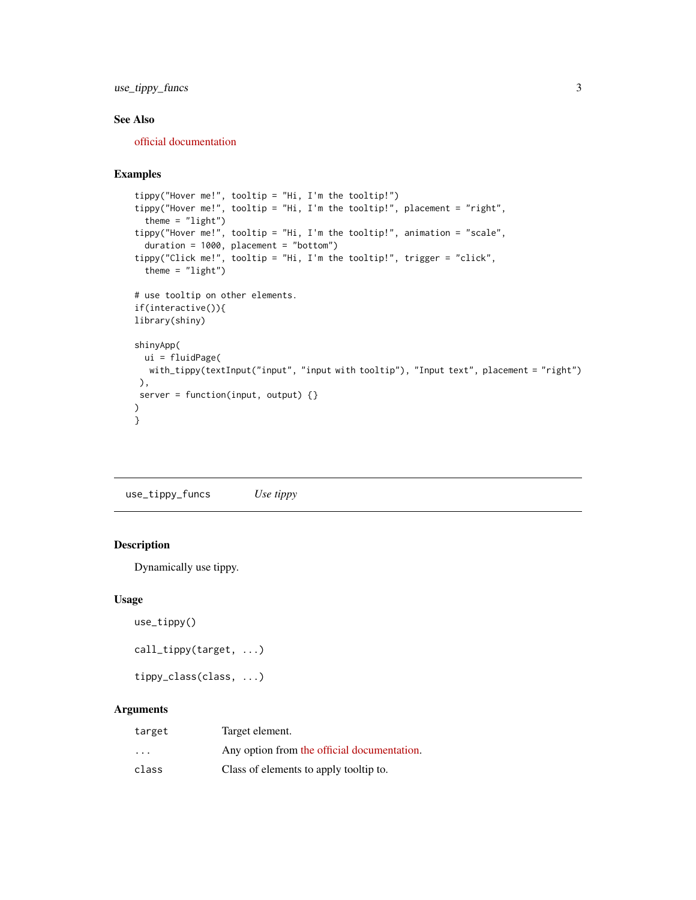<span id="page-2-0"></span>use\_tippy\_funcs 3

#### See Also

[official documentation](https://atomiks.github.io/tippyjs/)

#### Examples

```
tippy("Hover me!", tooltip = "Hi, I'm the tooltip!")
tippy("Hover me!", tooltip = "Hi, I'm the tooltip!", placement = "right",
  theme = "light")
tippy("Hover me!", tooltip = "Hi, I'm the tooltip!", animation = "scale",
  duration = 1000, placement = "bottom")
tippy("Click me!", tooltip = "Hi, I'm the tooltip!", trigger = "click",
  theme = "light")
# use tooltip on other elements.
if(interactive()){
library(shiny)
shinyApp(
 ui = fluidPage(
  with_tippy(textInput("input", "input with tooltip"), "Input text", placement = "right")
 ),
 server = function(input, output) \{\})
}
```
use\_tippy\_funcs *Use tippy*

#### Description

Dynamically use tippy.

#### Usage

```
use_tippy()
```

```
call_tippy(target, ...)
```
tippy\_class(class, ...)

#### Arguments

| target                  | Target element.                             |
|-------------------------|---------------------------------------------|
| $\cdot$ $\cdot$ $\cdot$ | Any option from the official documentation. |
| class                   | Class of elements to apply tooltip to.      |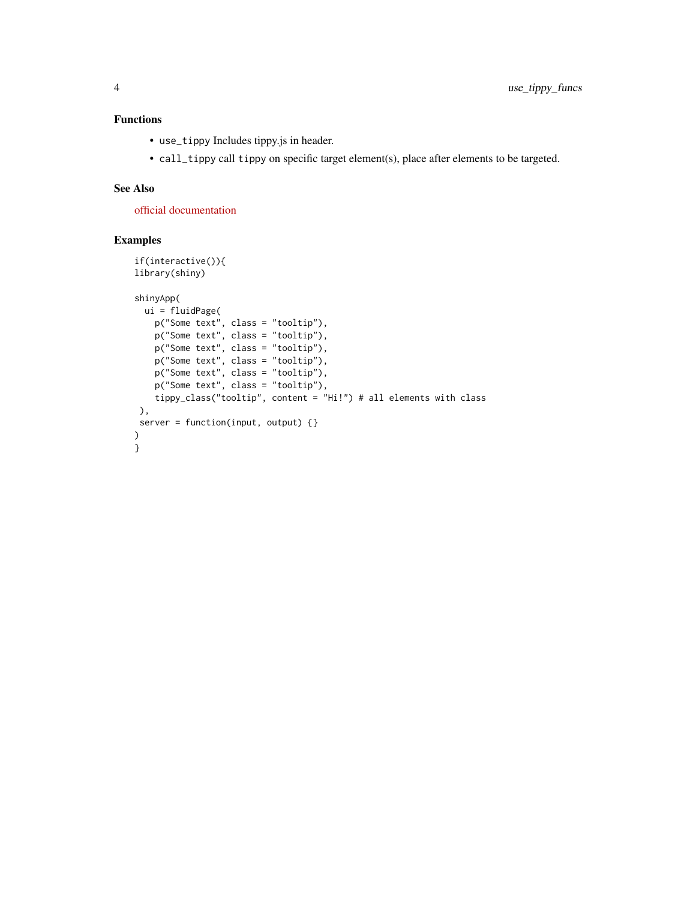#### Functions

- use\_tippy Includes tippy.js in header.
- call\_tippy call tippy on specific target element(s), place after elements to be targeted.

#### See Also

[official documentation](https://atomiks.github.io/tippyjs/)

#### Examples

```
if(interactive()){
library(shiny)
shinyApp(
  ui = fluidPage(
    p("Some text", class = "tooltip"),
    p("Some text", class = "tooltip"),
    p("Some text", class = "tooltip"),
    p("Some text", class = "tooltip"),
    p("Some text", class = "tooltip"),
   p("Some text", class = "tooltip"),
   tippy_class("tooltip", content = "Hi!") # all elements with class
),
server = function(input, output) {}
\lambda}
```